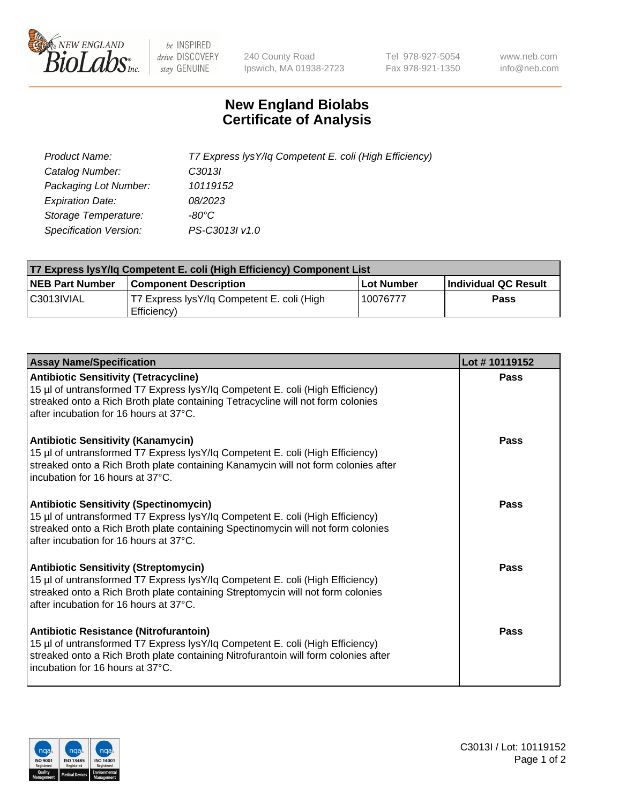

 $be$  INSPIRED drive DISCOVERY stay GENUINE

240 County Road Ipswich, MA 01938-2723 Tel 978-927-5054 Fax 978-921-1350 www.neb.com info@neb.com

## **New England Biolabs Certificate of Analysis**

| Product Name:                 | T7 Express lysY/lq Competent E. coli (High Efficiency) |
|-------------------------------|--------------------------------------------------------|
| Catalog Number:               | C <sub>3013</sub>                                      |
| Packaging Lot Number:         | 10119152                                               |
| <b>Expiration Date:</b>       | 08/2023                                                |
| Storage Temperature:          | -80°C                                                  |
| <b>Specification Version:</b> | PS-C3013I v1.0                                         |

| T7 Express lysY/lq Competent E. coli (High Efficiency) Component List |                                                           |            |                      |  |
|-----------------------------------------------------------------------|-----------------------------------------------------------|------------|----------------------|--|
| <b>NEB Part Number</b>                                                | <b>Component Description</b>                              | Lot Number | Individual QC Result |  |
| C3013IVIAL                                                            | T7 Express lysY/lg Competent E. coli (High<br>Efficiency) | 10076777   | <b>Pass</b>          |  |

| <b>Assay Name/Specification</b>                                                                                                                                                                                                                              | Lot #10119152 |
|--------------------------------------------------------------------------------------------------------------------------------------------------------------------------------------------------------------------------------------------------------------|---------------|
| <b>Antibiotic Sensitivity (Tetracycline)</b><br>15 µl of untransformed T7 Express lysY/lq Competent E. coli (High Efficiency)<br>streaked onto a Rich Broth plate containing Tetracycline will not form colonies<br>after incubation for 16 hours at 37°C.   | Pass          |
| <b>Antibiotic Sensitivity (Kanamycin)</b><br>15 µl of untransformed T7 Express lysY/lq Competent E. coli (High Efficiency)<br>streaked onto a Rich Broth plate containing Kanamycin will not form colonies after<br>incubation for 16 hours at 37°C.         | Pass          |
| <b>Antibiotic Sensitivity (Spectinomycin)</b><br>15 µl of untransformed T7 Express lysY/lq Competent E. coli (High Efficiency)<br>streaked onto a Rich Broth plate containing Spectinomycin will not form colonies<br>after incubation for 16 hours at 37°C. | Pass          |
| <b>Antibiotic Sensitivity (Streptomycin)</b><br>15 µl of untransformed T7 Express lysY/lq Competent E. coli (High Efficiency)<br>streaked onto a Rich Broth plate containing Streptomycin will not form colonies<br>after incubation for 16 hours at 37°C.   | <b>Pass</b>   |
| Antibiotic Resistance (Nitrofurantoin)<br>15 µl of untransformed T7 Express lysY/lq Competent E. coli (High Efficiency)<br>streaked onto a Rich Broth plate containing Nitrofurantoin will form colonies after<br>l incubation for 16 hours at 37°C.         | Pass          |